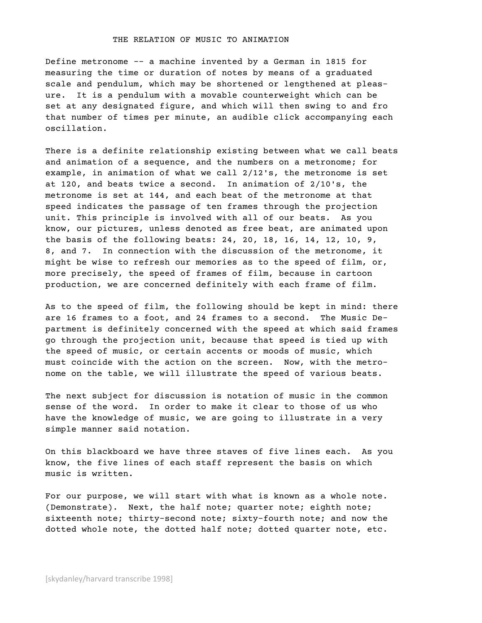## THE RELATION OF MUSIC TO ANIMATION

Define metronome -- a machine invented by a German in 1815 for measuring the time or duration of notes by means of a graduated scale and pendulum, which may be shortened or lengthened at pleasure. It is a pendulum with a movable counterweight which can be set at any designated figure, and which will then swing to and fro that number of times per minute, an audible click accompanying each oscillation.

There is a definite relationship existing between what we call beats and animation of a sequence, and the numbers on a metronome; for example, in animation of what we call 2/12's, the metronome is set at 120, and beats twice a second. In animation of 2/10's, the metronome is set at 144, and each beat of the metronome at that speed indicates the passage of ten frames through the projection unit. This principle is involved with all of our beats. As you know, our pictures, unless denoted as free beat, are animated upon the basis of the following beats: 24, 20, 18, 16, 14, 12, 10, 9, 8, and 7. In connection with the discussion of the metronome, it might be wise to refresh our memories as to the speed of film, or, more precisely, the speed of frames of film, because in cartoon production, we are concerned definitely with each frame of film.

As to the speed of film, the following should be kept in mind: there are 16 frames to a foot, and 24 frames to a second. The Music Department is definitely concerned with the speed at which said frames go through the projection unit, because that speed is tied up with the speed of music, or certain accents or moods of music, which must coincide with the action on the screen. Now, with the metronome on the table, we will illustrate the speed of various beats.

The next subject for discussion is notation of music in the common sense of the word. In order to make it clear to those of us who have the knowledge of music, we are going to illustrate in a very simple manner said notation.

On this blackboard we have three staves of five lines each. As you know, the five lines of each staff represent the basis on which music is written.

For our purpose, we will start with what is known as a whole note. (Demonstrate). Next, the half note; quarter note; eighth note; sixteenth note; thirty-second note; sixty-fourth note; and now the dotted whole note, the dotted half note; dotted quarter note, etc.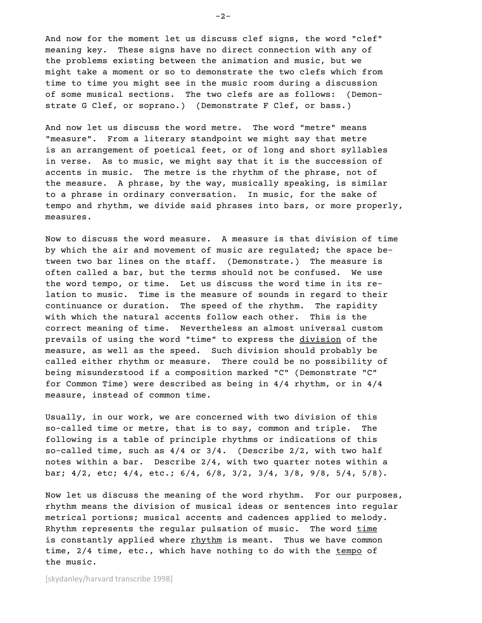And now for the moment let us discuss clef signs, the word "clef" meaning key. These signs have no direct connection with any of the problems existing between the animation and music, but we might take a moment or so to demonstrate the two clefs which from time to time you might see in the music room during a discussion of some musical sections. The two clefs are as follows: (Demonstrate G Clef, or soprano.) (Demonstrate F Clef, or bass.)

And now let us discuss the word metre. The word "metre" means "measure". From a literary standpoint we might say that metre is an arrangement of poetical feet, or of long and short syllables in verse. As to music, we might say that it is the succession of accents in music. The metre is the rhythm of the phrase, not of the measure. A phrase, by the way, musically speaking, is similar to a phrase in ordinary conversation. In music, for the sake of tempo and rhythm, we divide said phrases into bars, or more properly, measures.

Now to discuss the word measure. A measure is that division of time by which the air and movement of music are regulated; the space between two bar lines on the staff. (Demonstrate.) The measure is often called a bar, but the terms should not be confused. We use the word tempo, or time. Let us discuss the word time in its relation to music. Time is the measure of sounds in regard to their continuance or duration. The speed of the rhythm. The rapidity with which the natural accents follow each other. This is the correct meaning of time. Nevertheless an almost universal custom prevails of using the word "time" to express the division of the measure, as well as the speed. Such division should probably be called either rhythm or measure. There could be no possibility of being misunderstood if a composition marked "C" (Demonstrate "C" for Common Time) were described as being in 4/4 rhythm, or in 4/4 measure, instead of common time.

Usually, in our work, we are concerned with two division of this so-called time or metre, that is to say, common and triple. The following is a table of principle rhythms or indications of this so-called time, such as 4/4 or 3/4. (Describe 2/2, with two half notes within a bar. Describe 2/4, with two quarter notes within a bar; 4/2, etc; 4/4, etc.; 6/4, 6/8, 3/2, 3/4, 3/8, 9/8, 5/4, 5/8).

Now let us discuss the meaning of the word rhythm. For our purposes, rhythm means the division of musical ideas or sentences into regular metrical portions; musical accents and cadences applied to melody. Rhythm represents the regular pulsation of music. The word time is constantly applied where rhythm is meant. Thus we have common time, 2/4 time, etc., which have nothing to do with the tempo of the music.

[skydanley/harvard transcribe 1998]

 $-2-$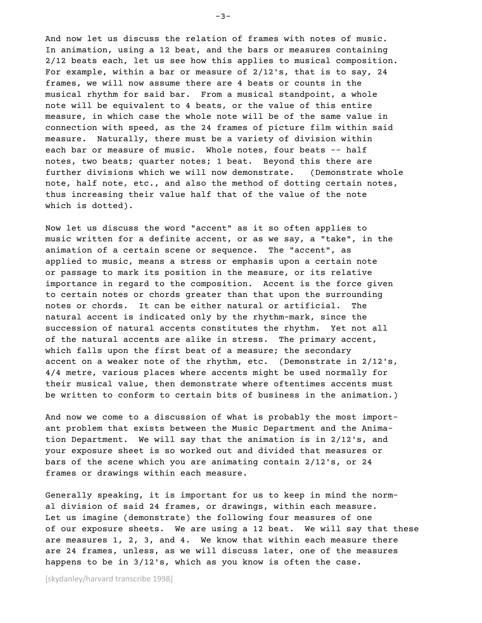And now let us discuss the relation of frames with notes of music. In animation, using a 12 beat, and the bars or measures containing 2/12 beats each, let us see how this applies to musical composition. For example, within a bar or measure of 2/12's, that is to say, 24 frames, we will now assume there are 4 beats or counts in the musical rhythm for said bar. From a musical standpoint, a whole note will be equivalent to 4 beats, or the value of this entire measure, in which case the whole note will be of the same value in connection with speed, as the 24 frames of picture film within said measure. Naturally, there must be a variety of division within each bar or measure of music. Whole notes, four beats -- half notes, two beats; quarter notes; 1 beat. Beyond this there are further divisions which we will now demonstrate. (Demonstrate whole note, half note, etc., and also the method of dotting certain notes, thus increasing their value half that of the value of the note which is dotted).

Now let us discuss the word "accent" as it so often applies to music written for a definite accent, or as we say, a "take", in the animation of a certain scene or sequence. The "accent", as applied to music, means a stress or emphasis upon a certain note or passage to mark its position in the measure, or its relative importance in regard to the composition. Accent is the force given to certain notes or chords greater than that upon the surrounding notes or chords. It can be either natural or artificial. The natural accent is indicated only by the rhythm-mark, since the succession of natural accents constitutes the rhythm. Yet not all of the natural accents are alike in stress. The primary accent, which falls upon the first beat of a measure; the secondary accent on a weaker note of the rhythm, etc. (Demonstrate in 2/12's, 4/4 metre, various places where accents might be used normally for their musical value, then demonstrate where oftentimes accents must be written to conform to certain bits of business in the animation.)

And now we come to a discussion of what is probably the most important problem that exists between the Music Department and the Animation Department. We will say that the animation is in 2/12's, and your exposure sheet is so worked out and divided that measures or bars of the scene which you are animating contain 2/12's, or 24 frames or drawings within each measure.

Generally speaking, it is important for us to keep in mind the normal division of said 24 frames, or drawings, within each measure. Let us imagine (demonstrate) the following four measures of one of our exposure sheets. We are using a 12 beat. We will say that these are measures 1, 2, 3, and 4. We know that within each measure there are 24 frames, unless, as we will discuss later, one of the measures happens to be in 3/12's, which as you know is often the case.

[skydanley/harvard transcribe 1998]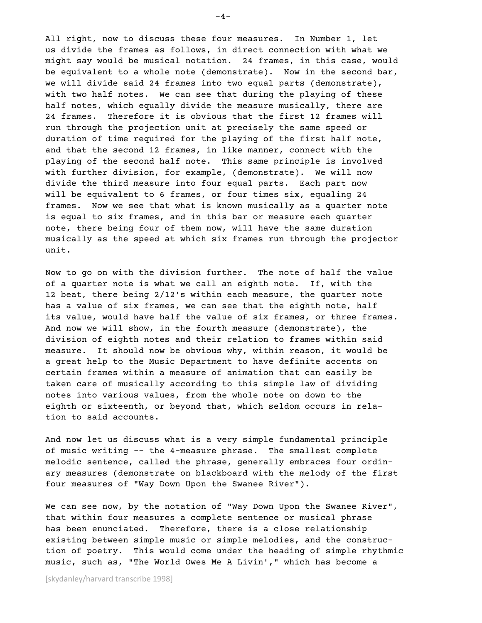All right, now to discuss these four measures. In Number 1, let us divide the frames as follows, in direct connection with what we might say would be musical notation. 24 frames, in this case, would be equivalent to a whole note (demonstrate). Now in the second bar, we will divide said 24 frames into two equal parts (demonstrate), with two half notes. We can see that during the playing of these half notes, which equally divide the measure musically, there are 24 frames. Therefore it is obvious that the first 12 frames will run through the projection unit at precisely the same speed or duration of time required for the playing of the first half note, and that the second 12 frames, in like manner, connect with the playing of the second half note. This same principle is involved with further division, for example, (demonstrate). We will now divide the third measure into four equal parts. Each part now will be equivalent to 6 frames, or four times six, equaling 24 frames. Now we see that what is known musically as a quarter note is equal to six frames, and in this bar or measure each quarter note, there being four of them now, will have the same duration musically as the speed at which six frames run through the projector unit.

Now to go on with the division further. The note of half the value of a quarter note is what we call an eighth note. If, with the 12 beat, there being 2/12's within each measure, the quarter note has a value of six frames, we can see that the eighth note, half its value, would have half the value of six frames, or three frames. And now we will show, in the fourth measure (demonstrate), the division of eighth notes and their relation to frames within said measure. It should now be obvious why, within reason, it would be a great help to the Music Department to have definite accents on certain frames within a measure of animation that can easily be taken care of musically according to this simple law of dividing notes into various values, from the whole note on down to the eighth or sixteenth, or beyond that, which seldom occurs in relation to said accounts.

And now let us discuss what is a very simple fundamental principle of music writing -- the 4-measure phrase. The smallest complete melodic sentence, called the phrase, generally embraces four ordinary measures (demonstrate on blackboard with the melody of the first four measures of "Way Down Upon the Swanee River").

We can see now, by the notation of "Way Down Upon the Swanee River", that within four measures a complete sentence or musical phrase has been enunciated. Therefore, there is a close relationship existing between simple music or simple melodies, and the construction of poetry. This would come under the heading of simple rhythmic music, such as, "The World Owes Me A Livin'," which has become a

[skydanley/harvard transcribe 1998]